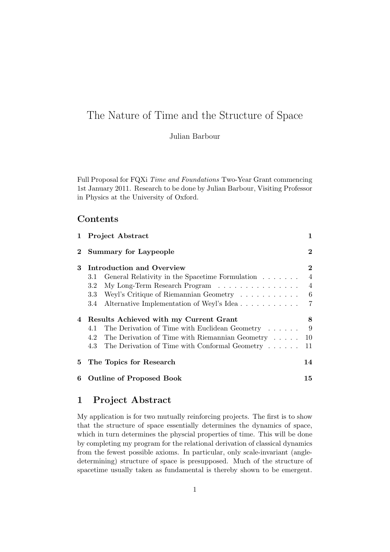# The Nature of Time and the Structure of Space

Julian Barbour

Full Proposal for FQXi Time and Foundations Two-Year Grant commencing 1st January 2011. Research to be done by Julian Barbour, Visiting Professor in Physics at the University of Oxford.

# **Contents**

|                | 1 Project Abstract                                     | 1              |
|----------------|--------------------------------------------------------|----------------|
| $\overline{2}$ | <b>Summary for Laypeople</b>                           | $\bf{2}$       |
| 3              | Introduction and Overview                              | $\bf{2}$       |
|                | General Relativity in the Spacetime Formulation<br>3.1 | $\overline{4}$ |
|                | My Long-Term Research Program<br>3.2                   | $\overline{4}$ |
|                | Weyl's Critique of Riemannian Geometry<br>$3.3\,$      | 6              |
|                | Alternative Implementation of Weyl's Idea<br>3.4       | 7              |
| 4              | Results Achieved with my Current Grant                 | 8              |
|                | The Derivation of Time with Euclidean Geometry<br>4.1  | 9              |
|                | The Derivation of Time with Riemannian Geometry<br>4.2 | 10             |
|                | The Derivation of Time with Conformal Geometry<br>4.3  | 11             |
| 5.             | The Topics for Research                                | 14             |
| 6              | <b>Outline of Proposed Book</b>                        | 15             |

# 1 Project Abstract

My application is for two mutually reinforcing projects. The first is to show that the structure of space essentially determines the dynamics of space, which in turn determines the physcial properties of time. This will be done by completing my program for the relational derivation of classical dynamics from the fewest possible axioms. In particular, only scale-invariant (angledetermining) structure of space is presupposed. Much of the structure of spacetime usually taken as fundamental is thereby shown to be emergent.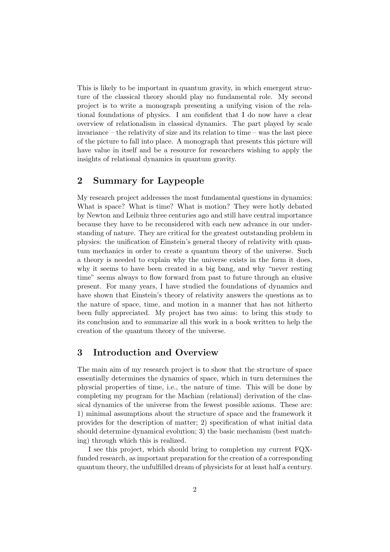This is likely to be important in quantum gravity, in which emergent structure of the classical theory should play no fundamental role. My second project is to write a monograph presenting a unifying vision of the relational foundations of physics. I am confident that I do now have a clear overview of relationalism in classical dynamics. The part played by scale invariance – the relativity of size and its relation to time – was the last piece of the picture to fall into place. A monograph that presents this picture will have value in itself and be a resource for researchers wishing to apply the insights of relational dynamics in quantum gravity.

# 2 Summary for Laypeople

My research project addresses the most fundamental questions in dynamics: What is space? What is time? What is motion? They were hotly debated by Newton and Leibniz three centuries ago and still have central importance because they have to be reconsidered with each new advance in our understanding of nature. They are critical for the greatest outstanding problem in physics: the unification of Einstein's general theory of relativity with quantum mechanics in order to create a quantum theory of the universe. Such a theory is needed to explain why the universe exists in the form it does, why it seems to have been created in a big bang, and why "never resting time" seems always to flow forward from past to future through an elusive present. For many years, I have studied the foundations of dynamics and have shown that Einstein's theory of relativity answers the questions as to the nature of space, time, and motion in a manner that has not hitherto been fully appreciated. My project has two aims: to bring this study to its conclusion and to summarize all this work in a book written to help the creation of the quantum theory of the universe.

# 3 Introduction and Overview

The main aim of my research project is to show that the structure of space essentially determines the dynamics of space, which in turn determines the physcial properties of time, i.e., the nature of time. This will be done by completing my program for the Machian (relational) derivation of the classical dynamics of the universe from the fewest possible axioms. These are: 1) minimal assumptions about the structure of space and the framework it provides for the description of matter; 2) specification of what initial data should determine dynamical evolution; 3) the basic mechanism (best matching) through which this is realized.

I see this project, which should bring to completion my current FQXfunded research, as important preparation for the creation of a corresponding quantum theory, the unfulfilled dream of physicists for at least half a century.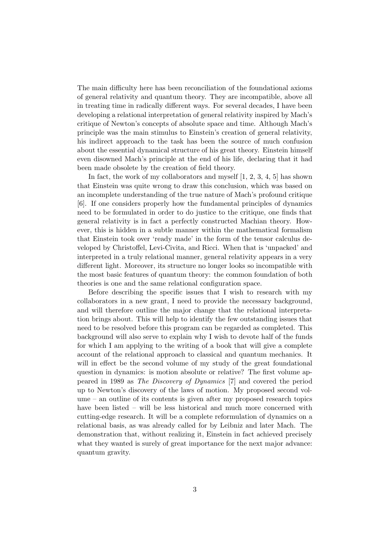The main difficulty here has been reconciliation of the foundational axioms of general relativity and quantum theory. They are incompatible, above all in treating time in radically different ways. For several decades, I have been developing a relational interpretation of general relativity inspired by Mach's critique of Newton's concepts of absolute space and time. Although Mach's principle was the main stimulus to Einstein's creation of general relativity, his indirect approach to the task has been the source of much confusion about the essential dynamical structure of his great theory. Einstein himself even disowned Mach's principle at the end of his life, declaring that it had been made obsolete by the creation of field theory.

In fact, the work of my collaborators and myself [1, 2, 3, 4, 5] has shown that Einstein was quite wrong to draw this conclusion, which was based on an incomplete understanding of the true nature of Mach's profound critique [6]. If one considers properly how the fundamental principles of dynamics need to be formulated in order to do justice to the critique, one finds that general relativity is in fact a perfectly constructed Machian theory. However, this is hidden in a subtle manner within the mathematical formalism that Einstein took over 'ready made' in the form of the tensor calculus developed by Christoffel, Levi-Civita, and Ricci. When that is 'unpacked' and interpreted in a truly relational manner, general relativity appears in a very different light. Moreover, its structure no longer looks so incompatible with the most basic features of quantum theory: the common foundation of both theories is one and the same relational configuration space.

Before describing the specific issues that I wish to research with my collaborators in a new grant, I need to provide the necessary background, and will therefore outline the major change that the relational interpretation brings about. This will help to identify the few outstanding issues that need to be resolved before this program can be regarded as completed. This background will also serve to explain why I wish to devote half of the funds for which I am applying to the writing of a book that will give a complete account of the relational approach to classical and quantum mechanics. It will in effect be the second volume of my study of the great foundational question in dynamics: is motion absolute or relative? The first volume appeared in 1989 as The Discovery of Dynamics [7] and covered the period up to Newton's discovery of the laws of motion. My proposed second volume – an outline of its contents is given after my proposed research topics have been listed – will be less historical and much more concerned with cutting-edge research. It will be a complete reformulation of dynamics on a relational basis, as was already called for by Leibniz and later Mach. The demonstration that, without realizing it, Einstein in fact achieved precisely what they wanted is surely of great importance for the next major advance: quantum gravity.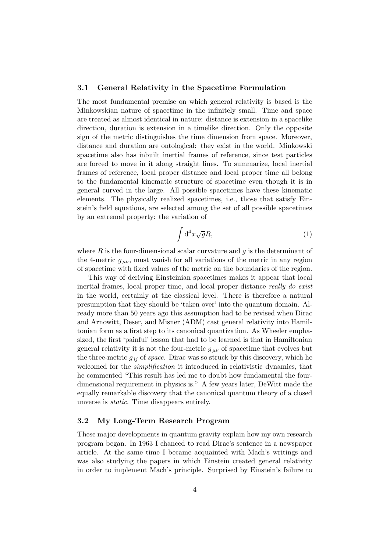#### 3.1 General Relativity in the Spacetime Formulation

The most fundamental premise on which general relativity is based is the Minkowskian nature of spacetime in the infinitely small. Time and space are treated as almost identical in nature: distance is extension in a spacelike direction, duration is extension in a timelike direction. Only the opposite sign of the metric distinguishes the time dimension from space. Moreover, distance and duration are ontological: they exist in the world. Minkowski spacetime also has inbuilt inertial frames of reference, since test particles are forced to move in it along straight lines. To summarize, local inertial frames of reference, local proper distance and local proper time all belong to the fundamental kinematic structure of spacetime even though it is in general curved in the large. All possible spacetimes have these kinematic elements. The physically realized spacetimes, i.e., those that satisfy Einstein's field equations, are selected among the set of all possible spacetimes by an extremal property: the variation of

$$
\int d^4x \sqrt{g}R,\tag{1}
$$

where  $R$  is the four-dimensional scalar curvature and  $q$  is the determinant of the 4-metric  $g_{\mu\nu}$ , must vanish for all variations of the metric in any region of spacetime with fixed values of the metric on the boundaries of the region.

This way of deriving Einsteinian spacetimes makes it appear that local inertial frames, local proper time, and local proper distance really do exist in the world, certainly at the classical level. There is therefore a natural presumption that they should be 'taken over' into the quantum domain. Already more than 50 years ago this assumption had to be revised when Dirac and Arnowitt, Deser, and Misner (ADM) cast general relativity into Hamiltonian form as a first step to its canonical quantization. As Wheeler emphasized, the first 'painful' lesson that had to be learned is that in Hamiltonian general relativity it is not the four-metric  $g_{\mu\nu}$  of spacetime that evolves but the three-metric  $g_{ij}$  of space. Dirac was so struck by this discovery, which he welcomed for the *simplification* it introduced in relativistic dynamics, that he commented "This result has led me to doubt how fundamental the fourdimensional requirement in physics is." A few years later, DeWitt made the equally remarkable discovery that the canonical quantum theory of a closed unverse is static. Time disappears entirely.

#### 3.2 My Long-Term Research Program

These major developments in quantum gravity explain how my own research program began. In 1963 I chanced to read Dirac's sentence in a newspaper article. At the same time I became acquainted with Mach's writings and was also studying the papers in which Einstein created general relativity in order to implement Mach's principle. Surprised by Einstein's failure to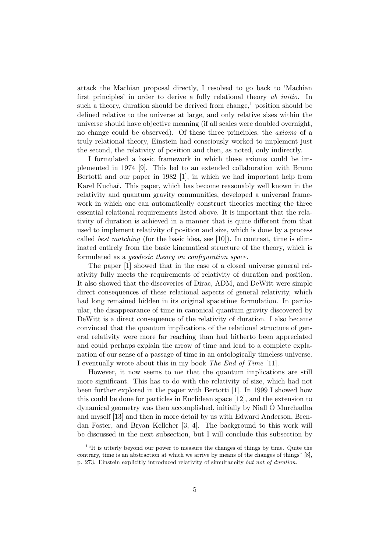attack the Machian proposal directly, I resolved to go back to 'Machian first principles' in order to derive a fully relational theory ab initio. In such a theory, duration should be derived from change,<sup>1</sup> position should be defined relative to the universe at large, and only relative sizes within the universe should have objective meaning (if all scales were doubled overnight, no change could be observed). Of these three principles, the axioms of a truly relational theory, Einstein had consciously worked to implement just the second, the relativity of position and then, as noted, only indirectly.

I formulated a basic framework in which these axioms could be implemented in 1974 [9]. This led to an extended collaboration with Bruno Bertotti and our paper in 1982 [1], in which we had important help from Karel Kuchař. This paper, which has become reasonably well known in the relativity and quantum gravity communities, developed a universal framework in which one can automatically construct theories meeting the three essential relational requirements listed above. It is important that the relativity of duration is achieved in a manner that is quite different from that used to implement relativity of position and size, which is done by a process called *best matching* (for the basic idea, see [10]). In contrast, time is eliminated entirely from the basic kinematical structure of the theory, which is formulated as a geodesic theory on configuration space.

The paper [1] showed that in the case of a closed universe general relativity fully meets the requirements of relativity of duration and position. It also showed that the discoveries of Dirac, ADM, and DeWitt were simple direct consequences of these relational aspects of general relativity, which had long remained hidden in its original spacetime formulation. In particular, the disappearance of time in canonical quantum gravity discovered by DeWitt is a direct consequence of the relativity of duration. I also became convinced that the quantum implications of the relational structure of general relativity were more far reaching than had hitherto been appreciated and could perhaps explain the arrow of time and lead to a complete explanation of our sense of a passage of time in an ontologically timeless universe. I eventually wrote about this in my book The End of Time [11].

However, it now seems to me that the quantum implications are still more significant. This has to do with the relativity of size, which had not been further explored in the paper with Bertotti [1]. In 1999 I showed how this could be done for particles in Euclidean space [12], and the extension to dynamical geometry was then accomplished, initially by Niall O Murchadha ´ and myself [13] and then in more detail by us with Edward Anderson, Brendan Foster, and Bryan Kelleher [3, 4]. The background to this work will be discussed in the next subsection, but I will conclude this subsection by

<sup>&</sup>lt;sup>1</sup> "It is utterly beyond our power to measure the changes of things by time. Quite the contrary, time is an abstraction at which we arrive by means of the changes of things" [8], p. 273. Einstein explicitly introduced relativity of simultaneity but not of duration.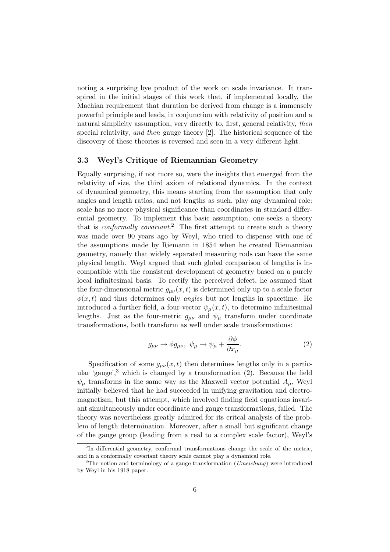noting a surprising bye product of the work on scale invariance. It transpired in the initial stages of this work that, if implemented locally, the Machian requirement that duration be derived from change is a immensely powerful principle and leads, in conjunction with relativity of position and a natural simplicity assumption, very directly to, first, general relativity, then special relativity, and then gauge theory [2]. The historical sequence of the discovery of these theories is reversed and seen in a very different light.

#### 3.3 Weyl's Critique of Riemannian Geometry

Equally surprising, if not more so, were the insights that emerged from the relativity of size, the third axiom of relational dynamics. In the context of dynamical geometry, this means starting from the assumption that only angles and length ratios, and not lengths as such, play any dynamical role: scale has no more physical significance than coordinates in standard differential geometry. To implement this basic assumption, one seeks a theory that is *conformally covariant.*<sup>2</sup> The first attempt to create such a theory was made over 90 years ago by Weyl, who tried to dispense with one of the assumptions made by Riemann in 1854 when he created Riemannian geometry, namely that widely separated measuring rods can have the same physical length. Weyl argued that such global comparison of lengths is incompatible with the consistent development of geometry based on a purely local infinitesimal basis. To rectify the perceived defect, he assumed that the four-dimensional metric  $g_{\mu\nu}(x,t)$  is determined only up to a scale factor  $\phi(x,t)$  and thus determines only angles but not lengths in spacetime. He introduced a further field, a four-vector  $\psi_{\mu}(x,t)$ , to determine infinitesimal lengths. Just as the four-metric  $g_{\mu\nu}$  and  $\psi_{\mu}$  transform under coordinate transformations, both transform as well under scale transformations:

$$
g_{\mu\nu} \to \phi g_{\mu\nu}, \ \psi_{\mu} \to \psi_{\mu} + \frac{\partial \phi}{\partial x_{\mu}}.
$$
 (2)

Specification of some  $g_{\mu\nu}(x,t)$  then determines lengths only in a particular 'gauge', $3$ ' which is changed by a transformation (2). Because the field  $\psi_{\mu}$  transforms in the same way as the Maxwell vector potential  $A_{\mu}$ , Weyl initially believed that he had succeeded in unifying gravitation and electromagnetism, but this attempt, which involved finding field equations invariant simultaneously under coordinate and gauge transformations, failed. The theory was nevertheless greatly admired for its critcal analysis of the problem of length determination. Moreover, after a small but significant change of the gauge group (leading from a real to a complex scale factor), Weyl's

<sup>&</sup>lt;sup>2</sup>In differential geometry, conformal transformations change the scale of the metric, and in a conformally covariant theory scale cannot play a dynamical role.

<sup>&</sup>lt;sup>3</sup>The notion and terminology of a gauge transformation (*Umeichung*) were introduced by Weyl in his 1918 paper.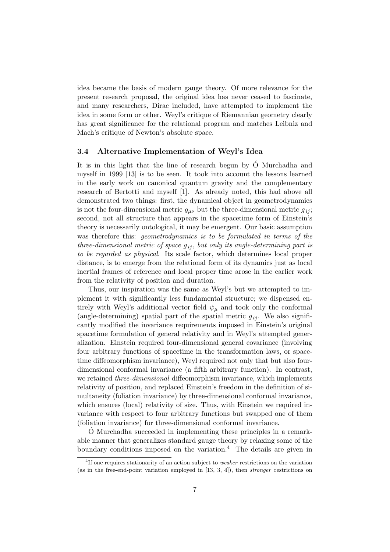idea became the basis of modern gauge theory. Of more relevance for the present research proposal, the original idea has never ceased to fascinate, and many researchers, Dirac included, have attempted to implement the idea in some form or other. Weyl's critique of Riemannian geometry clearly has great significance for the relational program and matches Leibniz and Mach's critique of Newton's absolute space.

#### 3.4 Alternative Implementation of Weyl's Idea

It is in this light that the line of research begun by  $\acute{O}$  Murchadha and myself in 1999 [13] is to be seen. It took into account the lessons learned in the early work on canonical quantum gravity and the complementary research of Bertotti and myself [1]. As already noted, this had above all demonstrated two things: first, the dynamical object in geometrodynamics is not the four-dimensional metric  $g_{\mu\nu}$  but the three-dimensional metric  $g_{ij}$ ; second, not all structure that appears in the spacetime form of Einstein's theory is necessarily ontological, it may be emergent. Our basic assumption was therefore this: geometrodynamics is to be formulated in terms of the three-dimensional metric of space  $g_{ij}$ , but only its angle-determining part is to be regarded as physical. Its scale factor, which determines local proper distance, is to emerge from the relational form of its dynamics just as local inertial frames of reference and local proper time arose in the earlier work from the relativity of position and duration.

Thus, our inspiration was the same as Weyl's but we attempted to implement it with significantly less fundamental structure; we dispensed entirely with Weyl's additional vector field  $\psi_{\mu}$  and took only the conformal (angle-determining) spatial part of the spatial metric  $g_{ij}$ . We also significantly modified the invariance requirements imposed in Einstein's original spacetime formulation of general relativity and in Weyl's attempted generalization. Einstein required four-dimensional general covariance (involving four arbitrary functions of spacetime in the transformation laws, or spacetime diffeomorphism invariance), Weyl required not only that but also fourdimensional conformal invariance (a fifth arbitrary function). In contrast, we retained *three-dimensional* diffeomorphism invariance, which implements relativity of position, and replaced Einstein's freedom in the definition of simultaneity (foliation invariance) by three-dimensional conformal invariance, which ensures (local) relativity of size. Thus, with Einstein we required invariance with respect to four arbitrary functions but swapped one of them (foliation invariance) for three-dimensional conformal invariance.

 $\acute{o}$  Murchadha succeeded in implementing these principles in a remarkable manner that generalizes standard gauge theory by relaxing some of the boundary conditions imposed on the variation.<sup>4</sup> The details are given in

<sup>&</sup>lt;sup>4</sup>If one requires stationarity of an action subject to *weaker* restrictions on the variation (as in the free-end-point variation employed in [13, 3, 4]), then stronger restrictions on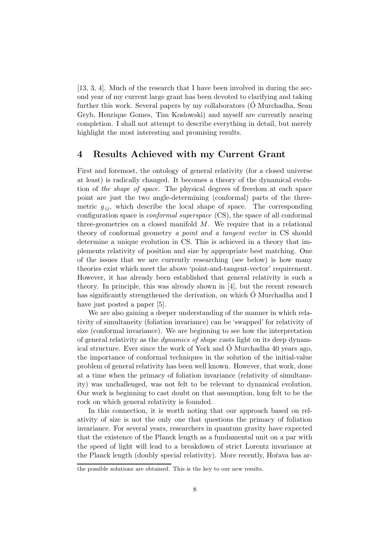[13, 3, 4]. Much of the research that I have been involved in during the second year of my current large grant has been devoted to clarifying and taking further this work. Several papers by my collaborators  $(Ó$  Murchadha, Sean Gryb, Henrique Gomes, Tim Koslowski) and myself are currently nearing completion. I shall not attempt to describe everything in detail, but merely highlight the most interesting and promising results.

### 4 Results Achieved with my Current Grant

First and foremost, the ontology of general relativity (for a closed universe at least) is radically changed. It becomes a theory of the dynamical evolution of the shape of space. The physical degrees of freedom at each space point are just the two angle-determining (conformal) parts of the threemetric  $g_{ij}$ , which describe the local shape of space. The corresponding configuration space is conformal superspace (CS), the space of all conformal three-geometries on a closed manifold  $M$ . We require that in a relational theory of conformal geometry a point and a tangent vector in CS should determine a unique evolution in CS. This is achieved in a theory that implements relativity of position and size by appropriate best matching. One of the issues that we are currently researching (see below) is how many theories exist which meet the above 'point-and-tangent-vector' requirement. However, it has already been established that general relativity is such a theory. In principle, this was already shown in [4], but the recent research has significantly strengthened the derivation, on which  $\acute{O}$  Murchadha and I have just posted a paper [5].

We are also gaining a deeper understanding of the manner in which relativity of simultaneity (foliation invariance) can be 'swapped' for relativity of size (conformal invariance). We are beginning to see how the interpretation of general relativity as the dynamics of shape casts light on its deep dynamical structure. Ever since the work of York and  $\acute{O}$  Murchadha 40 years ago, the importance of conformal techniques in the solution of the initial-value problem of general relativity has been well known. However, that work, done at a time when the primacy of foliation invariance (relativity of simultaneity) was unchallenged, was not felt to be relevant to dynamical evolution. Our work is beginning to cast doubt on that assumption, long felt to be the rock on which general relativity is founded.

In this connection, it is worth noting that our approach based on relativity of size is not the only one that questions the primacy of foliation invariance. For several years, researchers in quantum gravity have expected that the existence of the Planck length as a fundamental unit on a par with the speed of light will lead to a breakdown of strict Lorentz invariance at the Planck length (doubly special relativity). More recently, Hořava has ar-

the possible solutions are obtained. This is the key to our new results.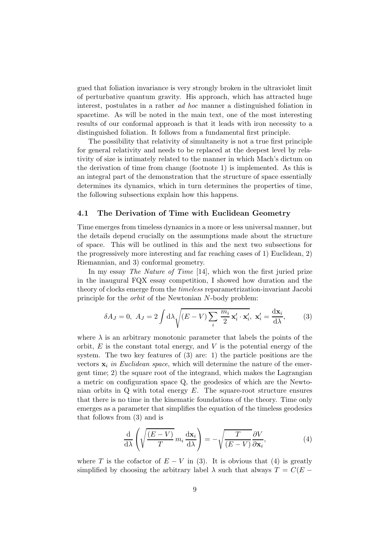gued that foliation invariance is very strongly broken in the ultraviolet limit of perturbative quantum gravity. His approach, which has attracted huge interest, postulates in a rather ad hoc manner a distinguished foliation in spacetime. As will be noted in the main text, one of the most interesting results of our conformal approach is that it leads with iron necessity to a distinguished foliation. It follows from a fundamental first principle.

The possibility that relativity of simultaneity is not a true first principle for general relativity and needs to be replaced at the deepest level by relativity of size is intimately related to the manner in which Mach's dictum on the derivation of time from change (footnote 1) is implemented. As this is an integral part of the demonstration that the structure of space essentially determines its dynamics, which in turn determines the properties of time, the following subsections explain how this happens.

#### 4.1 The Derivation of Time with Euclidean Geometry

Time emerges from timeless dynamics in a more or less universal manner, but the details depend crucially on the assumptions made about the structure of space. This will be outlined in this and the next two subsections for the progressively more interesting and far reaching cases of 1) Euclidean, 2) Riemannian, and 3) conformal geometry.

In my essay *The Nature of Time* [14], which won the first juried prize in the inaugural FQX essay competition, I showed how duration and the theory of clocks emerge from the timeless reparametrization-invariant Jacobi principle for the orbit of the Newtonian N-body problem:

$$
\delta A_J = 0, \ A_J = 2 \int d\lambda \sqrt{(E - V) \sum_i \frac{m_i}{2} \mathbf{x}'_i \cdot \mathbf{x}'_i}, \ \mathbf{x}'_i = \frac{d\mathbf{x}_i}{d\lambda}, \tag{3}
$$

where  $\lambda$  is an arbitrary monotonic parameter that labels the points of the orbit,  $E$  is the constant total energy, and  $V$  is the potential energy of the system. The two key features of (3) are: 1) the particle positions are the vectors  $x_i$  in Euclidean space, which will determine the nature of the emergent time; 2) the square root of the integrand, which makes the Lagrangian a metric on configuration space Q, the geodesics of which are the Newtonian orbits in  $Q$  with total energy  $E$ . The square-root structure ensures that there is no time in the kinematic foundations of the theory. Time only emerges as a parameter that simplifies the equation of the timeless geodesics that follows from (3) and is

$$
\frac{\mathrm{d}}{\mathrm{d}\lambda} \left( \sqrt{\frac{(E-V)}{T}} m_i \frac{\mathrm{d}\mathbf{x}_i}{\mathrm{d}\lambda} \right) = -\sqrt{\frac{T}{(E-V)}} \frac{\partial V}{\partial \mathbf{x}_i},\tag{4}
$$

where T is the cofactor of  $E - V$  in (3). It is obvious that (4) is greatly simplified by choosing the arbitrary label  $\lambda$  such that always  $T = C(E -$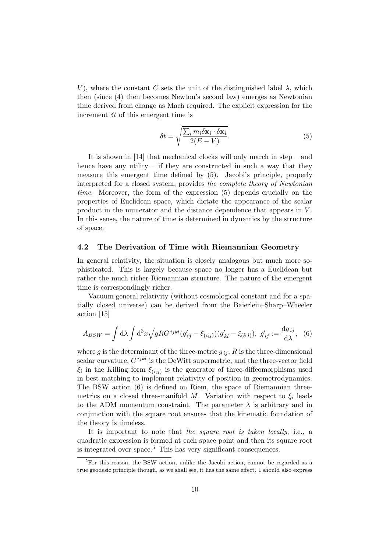V, where the constant C sets the unit of the distinguished label  $\lambda$ , which then (since (4) then becomes Newton's second law) emerges as Newtonian time derived from change as Mach required. The explicit expression for the increment  $\delta t$  of this emergent time is

$$
\delta t = \sqrt{\frac{\sum_{i} m_{i} \delta \mathbf{x}_{i} \cdot \delta \mathbf{x}_{i}}{2(E - V)}}.
$$
\n(5)

It is shown in [14] that mechanical clocks will only march in step – and hence have any utility – if they are constructed in such a way that they measure this emergent time defined by (5). Jacobi's principle, properly interpreted for a closed system, provides the complete theory of Newtonian time. Moreover, the form of the expression (5) depends crucially on the properties of Euclidean space, which dictate the appearance of the scalar product in the numerator and the distance dependence that appears in V . In this sense, the nature of time is determined in dynamics by the structure of space.

#### 4.2 The Derivation of Time with Riemannian Geometry

In general relativity, the situation is closely analogous but much more sophisticated. This is largely because space no longer has a Euclidean but rather the much richer Riemannian structure. The nature of the emergent time is correspondingly richer.

Vacuum general relativity (without cosmological constant and for a spatially closed universe) can be derived from the Baierlein–Sharp–Wheeler action [15]

$$
A_{BSW} = \int d\lambda \int d^3x \sqrt{gRG^{ijkl}(g'_{ij} - \xi_{(i;j)})(g'_{kl} - \xi_{(k;l)})}, \ g'_{ij} := \frac{dg_{ij}}{d\lambda}, \tag{6}
$$

where g is the determinant of the three-metric  $g_{ii}$ , R is the three-dimensional scalar curvature,  $G^{ijkl}$  is the DeWitt supermetric, and the three-vector field  $\xi_i$  in the Killing form  $\xi_{(i;j)}$  is the generator of three-diffeomorphisms used in best matching to implement relativity of position in geometrodynamics. The BSW action (6) is defined on Riem, the space of Riemannian threemetrics on a closed three-manifold M. Variation with respect to  $\xi_i$  leads to the ADM momentum constraint. The parameter  $\lambda$  is arbitrary and in conjunction with the square root ensures that the kinematic foundation of the theory is timeless.

It is important to note that the square root is taken locally, i.e., a quadratic expression is formed at each space point and then its square root is integrated over space.<sup>5</sup> This has very significant consequences.

 $\overline{\text{5}}$ For this reason, the BSW action, unlike the Jacobi action, cannot be regarded as a true geodesic principle though, as we shall see, it has the same effect. I should also express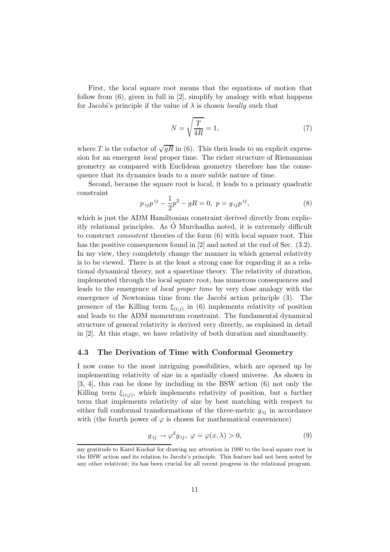First, the local square root means that the equations of motion that follow from (6), given in full in [2], simplify by analogy with what happens for Jacobi's principle if the value of  $\lambda$  is chosen *locally* such that

$$
N = \sqrt{\frac{T}{4R}} = 1,\t(7)
$$

where T is the cofactor of  $\sqrt{gR}$  in (6). This then leads to an explicit expression for an emergent local proper time. The richer structure of Riemannian geometry as compared with Euclidean geometry therefore has the consequence that its dynamics leads to a more subtle nature of time.

Second, because the square root is local, it leads to a primary quadratic constraint

$$
p_{ij}p^{ij} - \frac{1}{2}p^2 - gR = 0, \ p = g_{ij}p^{ij}, \tag{8}
$$

which is just the ADM Hamiltonian constraint derived directly from explicitly relational principles. As  $\acute{O}$  Murchadha noted, it is extremely difficult to construct consistent theories of the form (6) with local square root. This has the positive consequences found in [2] and noted at the end of Sec. (3.2). In my view, they completely change the manner in which general relativity is to be viewed. There is at the least a strong case for regarding it as a relational dynamical theory, not a spacetime theory. The relativity of duration, implemented through the local square root, has numerous consequences and leads to the emergence of local proper time by very close analogy with the emergence of Newtonian time from the Jacobi action principle (3). The presence of the Killing term  $\xi_{(i;j)}$  in (6) implements relativity of position and leads to the ADM momentum constraint. The fundamental dynamical structure of general relativity is derived very directly, as explained in detail in [2]. At this stage, we have relativity of both duration and simultaneity.

#### 4.3 The Derivation of Time with Conformal Geometry

I now come to the most intriguing possibilities, which are opened up by implementing relativity of size in a spatially closed universe. As shown in [3, 4], this can be done by including in the BSW action (6) not only the Killing term  $\xi_{(i,j)}$ , which implements relativity of position, but a further term that implements relativity of size by best matching with respect to either full conformal transformations of the three-metric  $g_{ij}$  in accordance with (the fourth power of  $\varphi$  is chosen for mathematical convenience)

$$
g_{ij} \to \varphi^4 g_{ij}, \ \varphi = \varphi(x, \lambda) > 0,\tag{9}
$$

my gratitude to Karel Kuchař for drawing my attention in 1980 to the local square root in the BSW action and its relation to Jacobi's principle. This feature had not been noted by any other relativist; its has been crucial for all recent progress in the relational program.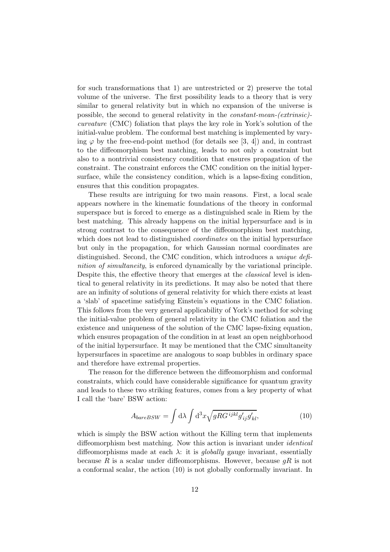for such transformations that 1) are untrestricted or 2) preserve the total volume of the universe. The first possibility leads to a theory that is very similar to general relativity but in which no expansion of the universe is possible, the second to general relativity in the constant-mean-(extrinsic) curvature (CMC) foliation that plays the key role in York's solution of the initial-value problem. The conformal best matching is implemented by varying  $\varphi$  by the free-end-point method (for details see [3, 4]) and, in contrast to the diffeomorphism best matching, leads to not only a constraint but also to a nontrivial consistency condition that ensures propagation of the constraint. The constraint enforces the CMC condition on the initial hypersurface, while the consistency condition, which is a lapse-fixing condition, ensures that this condition propagates.

These results are intriguing for two main reasons. First, a local scale appears nowhere in the kinematic foundations of the theory in conformal superspace but is forced to emerge as a distinguished scale in Riem by the best matching. This already happens on the initial hypersurface and is in strong contrast to the consequence of the diffeomorphism best matching, which does not lead to distinguished *coordinates* on the initial hypersurface but only in the propagation, for which Gaussian normal coordinates are distinguished. Second, the CMC condition, which introduces a unique definition of simultaneity, is enforced dynamically by the variational principle. Despite this, the effective theory that emerges at the *classical* level is identical to general relativity in its predictions. It may also be noted that there are an infinity of solutions of general relativity for which there exists at least a 'slab' of spacetime satisfying Einstein's equations in the CMC foliation. This follows from the very general applicability of York's method for solving the initial-value problem of general relativity in the CMC foliation and the existence and uniqueness of the solution of the CMC lapse-fixing equation, which ensures propagation of the condition in at least an open neighborhood of the initial hypersurface. It may be mentioned that the CMC simultaneity hypersurfaces in spacetime are analogous to soap bubbles in ordinary space and therefore have extremal properties.

The reason for the difference between the diffeomorphism and conformal constraints, which could have considerable significance for quantum gravity and leads to these two striking features, comes from a key property of what I call the 'bare' BSW action:

$$
A_{bareBSW} = \int d\lambda \int d^3x \sqrt{gRG^{ijkl}g'_{ij}g'_{kl}},\tag{10}
$$

which is simply the BSW action without the Killing term that implements diffeomorphism best matching. Now this action is invariant under identical diffeomorphisms made at each  $\lambda$ : it is *globally* gauge invariant, essentially because R is a scalar under diffeomorphisms. However, because  $qR$  is not a conformal scalar, the action (10) is not globally conformally invariant. In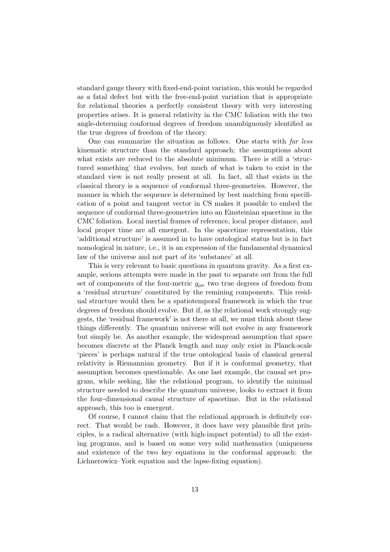standard gauge theory with fixed-end-point variation, this would be regarded as a fatal defect but with the free-end-point variation that is appropriate for relational theories a perfectly consistent theory with very interesting properties arises. It is general relativity in the CMC foliation with the two angle-determing conformal degrees of freedom unambiguously identified as the true degrees of freedom of the theory.

One can summarize the situation as follows. One starts with far less kinematic structure than the standard approach; the assumptions about what exists are reduced to the absolute minimum. There is still a 'structured something' that evolves, but much of what is taken to exist in the standard view is not really present at all. In fact, all that exists in the classical theory is a sequence of conformal three-geometries. However, the manner in which the sequence is determined by best matching from specification of a point and tangent vector in CS makes it possible to embed the sequence of conformal three-geometries into an Einsteinian spacetime in the CMC foliation. Local inertial frames of reference, local proper distance, and local proper time are all emergent. In the spacetime representation, this 'additional structure' is assumed in to have ontological status but is in fact nomological in nature, i.e., it is an expression of the fundamental dynamical law of the universe and not part of its 'substance' at all.

This is very relevant to basic questions in quantum gravity. As a first example, serious attempts were made in the past to separate out from the full set of components of the four-metric  $g_{\mu\nu}$  two true degrees of freedom from a 'residual structure' constituted by the remining components. This residual structure would then be a spatiotemporal framework in which the true degrees of freedom should evolve. But if, as the relational work strongly suggests, the 'residual framework' is not there at all, we must think about these things differently. The quantum universe will not evolve in any framework but simply be. As another example, the widespread assumption that space becomes discrete at the Planck length and may only exist in Planck-scale 'pieces' is perhaps natural if the true ontological basis of classical general relativity is Riemannian geometry. But if it is conformal geometry, that assumption becomes questionable. As one last example, the causal set program, while seeking, like the relational program, to identify the minimal structure needed to describe the quantum universe, looks to extract it from the four-dimensional causal structure of spacetime. But in the relational approach, this too is emergent.

Of course, I cannot claim that the relational approach is definitely correct. That would be rash. However, it does have very plausible first principles, is a radical alternative (with high-impact potential) to all the existing programs, and is based on some very solid mathematics (uniqueness and existence of the two key equations in the conformal approach: the Lichnerowicz–York equation and the lapse-fixing equation).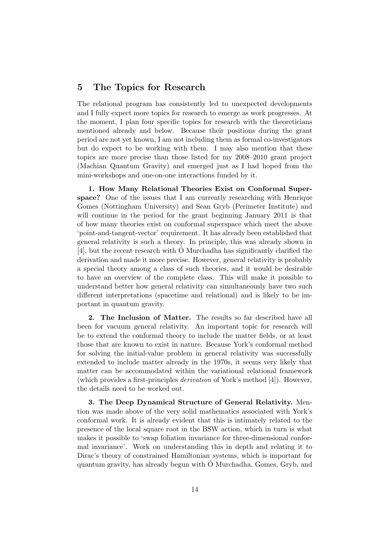### 5 The Topics for Research

The relational program has consistently led to unexpected developments and I fully expect more topics for research to emerge as work progresses. At the moment, I plan four specific topics for research with the theoreticians mentioned already and below. Because their positions during the grant period are not yet known, I am not including them as formal co-investigators but do expect to be working with them. I may also mention that these topics are more precise than those listed for my 2008–2010 grant project (Machian Quantum Gravity) and emerged just as I had hoped from the mini-workshops and one-on-one interactions funded by it.

1. How Many Relational Theories Exist on Conformal Superspace? One of the issues that I am currently researching with Henrique Gomes (Nottingham University) and Sean Gryb (Perimeter Institute) and will continue in the period for the grant beginning January 2011 is that of how many theories exist on conformal superspace which meet the above 'point-and-tangent-vector' requirement. It has already been established that general relativity is such a theory. In principle, this was already shown in  $[4]$ , but the recent research with  $\acute{O}$  Murchadha has significantly clarified the derivation and made it more precise. However, general relativity is probably a special theory among a class of such theories, and it would be desirable to have an overview of the complete class. This will make it possible to understand better how general relativity can simultaneously have two such different interpretations (spacetime and relational) and is likely to be important in quantum gravity.

2. The Inclusion of Matter. The results so far described have all been for vacuum general relativity. An important topic for research will be to extend the conformal theory to include the matter fields, or at least those that are known to exist in nature. Because York's conformal method for solving the initial-value problem in general relativity was successfully extended to include matter already in the 1970s, it seems very likely that matter can be accommodated within the variational relational framework (which provides a first-principles derivation of York's method [4]). However, the details need to be worked out.

3. The Deep Dynamical Structure of General Relativity. Mention was made above of the very solid mathematics associated with York's conformal work. It is already evident that this is intimately related to the presence of the local square root in the BSW action, which in turn is what makes it possible to 'swap foliation invariance for three-dimensional conformal invariance'. Work on understanding this in depth and relating it to Dirac's theory of constrained Hamiltonian systems, which is important for quantum gravity, has already begun with O Murchadha, Gomes, Gryb, and ´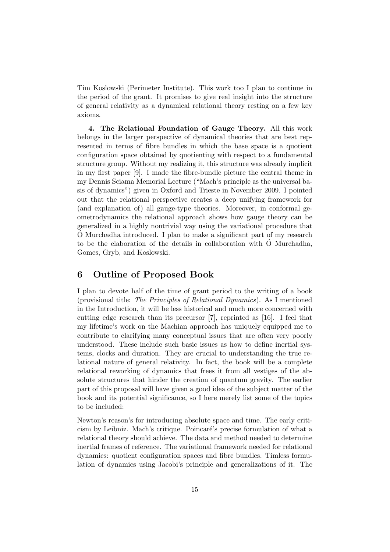Tim Koslowski (Perimeter Institute). This work too I plan to continue in the period of the grant. It promises to give real insight into the structure of general relativity as a dynamical relational theory resting on a few key axioms.

4. The Relational Foundation of Gauge Theory. All this work belongs in the larger perspective of dynamical theories that are best represented in terms of fibre bundles in which the base space is a quotient configuration space obtained by quotienting with respect to a fundamental structure group. Without my realizing it, this structure was already implicit in my first paper [9]. I made the fibre-bundle picture the central theme in my Dennis Sciama Memorial Lecture ("Mach's principle as the universal basis of dynamics") given in Oxford and Trieste in November 2009. I pointed out that the relational perspective creates a deep unifying framework for (and explanation of) all gauge-type theories. Moreover, in conformal geometrodynamics the relational approach shows how gauge theory can be generalized in a highly nontrivial way using the variational procedure that  $\dot{\rm O}$  Murchadha introduced. I plan to make a significant part of my research to be the elaboration of the details in collaboration with  $\acute{O}$  Murchadha, Gomes, Gryb, and Koslowski.

### 6 Outline of Proposed Book

I plan to devote half of the time of grant period to the writing of a book (provisional title: The Principles of Relational Dynamics). As I mentioned in the Introduction, it will be less historical and much more concerned with cutting edge research than its precursor [7], reprinted as [16]. I feel that my lifetime's work on the Machian approach has uniquely equipped me to contribute to clarifying many conceptual issues that are often very poorly understood. These include such basic issues as how to define inertial systems, clocks and duration. They are crucial to understanding the true relational nature of general relativity. In fact, the book will be a complete relational reworking of dynamics that frees it from all vestiges of the absolute structures that hinder the creation of quantum gravity. The earlier part of this proposal will have given a good idea of the subject matter of the book and its potential significance, so I here merely list some of the topics to be included:

Newton's reason's for introducing absolute space and time. The early criticism by Leibniz. Mach's critique. Poincaré's precise formulation of what a relational theory should achieve. The data and method needed to determine inertial frames of reference. The variational framework needed for relational dynamics: quotient configuration spaces and fibre bundles. Timless formulation of dynamics using Jacobi's principle and generalizations of it. The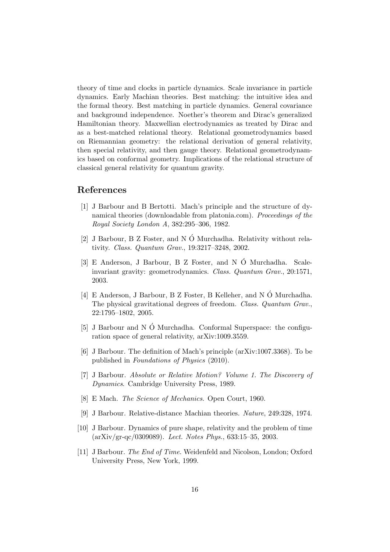theory of time and clocks in particle dynamics. Scale invariance in particle dynamics. Early Machian theories. Best matching: the intuitive idea and the formal theory. Best matching in particle dynamics. General covariance and background independence. Noether's theorem and Dirac's generalized Hamiltonian theory. Maxwellian electrodynamics as treated by Dirac and as a best-matched relational theory. Relational geometrodynamics based on Riemannian geometry: the relational derivation of general relativity, then special relativity, and then gauge theory. Relational geometrodynamics based on conformal geometry. Implications of the relational structure of classical general relativity for quantum gravity.

### References

- [1] J Barbour and B Bertotti. Mach's principle and the structure of dynamical theories (downloadable from platonia.com). Proceedings of the Royal Society London A, 382:295–306, 1982.
- [2] J Barbour, B Z Foster, and N  $\acute{O}$  Murchadha. Relativity without relativity. Class. Quantum Grav., 19:3217–3248, 2002.
- [3] E Anderson, J Barbour, B Z Foster, and N O Murchadha. Scale- ´ invariant gravity: geometrodynamics. Class. Quantum Grav., 20:1571, 2003.
- [4] E Anderson, J Barbour, B Z Foster, B Kelleher, and N  $\acute{o}$  Murchadha. The physical gravitational degrees of freedom. Class. Quantum Grav., 22:1795–1802, 2005.
- [5] J Barbour and N  $\acute{O}$  Murchadha. Conformal Superspace: the configuration space of general relativity, arXiv:1009.3559.
- [6] J Barbour. The definition of Mach's principle (arXiv:1007.3368). To be published in Foundations of Physics (2010).
- [7] J Barbour. Absolute or Relative Motion? Volume 1. The Discovery of Dynamics. Cambridge University Press, 1989.
- [8] E Mach. The Science of Mechanics. Open Court, 1960.
- [9] J Barbour. Relative-distance Machian theories. Nature, 249:328, 1974.
- [10] J Barbour. Dynamics of pure shape, relativity and the problem of time (arXiv/gr-qc/0309089). Lect. Notes Phys., 633:15–35, 2003.
- [11] J Barbour. The End of Time. Weidenfeld and Nicolson, London; Oxford University Press, New York, 1999.